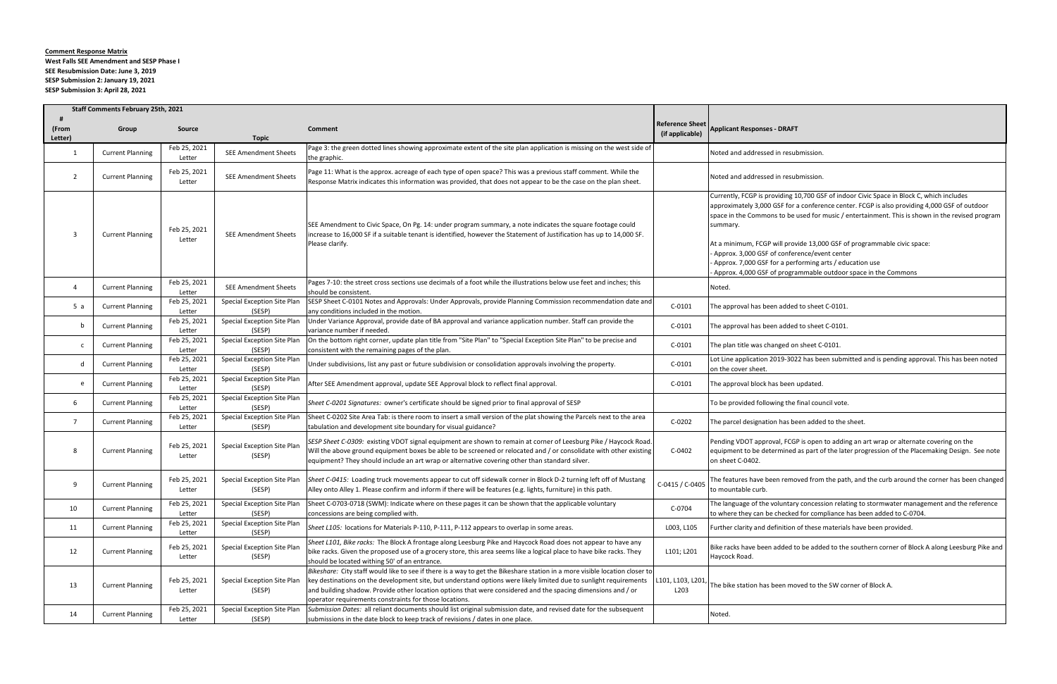## **Comment Response Matrix**

**West Falls SEE Amendment and SESP Phase I SEE Resubmission Date: June 3, 2019 SESP Submission 2: January 19, 2021 SESP Submission 3: April 28, 2021**

|                  | Staff Comments February 25th, 2021 |                        |                                       |                                                                                                                                                                                                                                                                                                                                                                                                                            |                                           |                                                                                                                                                                                                                                                                                                                                                                                               |
|------------------|------------------------------------|------------------------|---------------------------------------|----------------------------------------------------------------------------------------------------------------------------------------------------------------------------------------------------------------------------------------------------------------------------------------------------------------------------------------------------------------------------------------------------------------------------|-------------------------------------------|-----------------------------------------------------------------------------------------------------------------------------------------------------------------------------------------------------------------------------------------------------------------------------------------------------------------------------------------------------------------------------------------------|
| (From<br>Letter) | Group                              | Source                 | <b>Topic</b>                          | Comment                                                                                                                                                                                                                                                                                                                                                                                                                    | <b>Reference Sheet</b><br>(if applicable) | <b>Applicant Responses - DRAFT</b>                                                                                                                                                                                                                                                                                                                                                            |
| $\mathbf{1}$     | <b>Current Planning</b>            | Feb 25, 2021<br>Letter | <b>SEE Amendment Sheets</b>           | Page 3: the green dotted lines showing approximate extent of the site plan application is missing on the west side of<br>the graphic.                                                                                                                                                                                                                                                                                      |                                           | Noted and addressed in resubmission.                                                                                                                                                                                                                                                                                                                                                          |
| 2                | <b>Current Planning</b>            | Feb 25, 2021<br>Letter | <b>SEE Amendment Sheets</b>           | Page 11: What is the approx. acreage of each type of open space? This was a previous staff comment. While the<br>Response Matrix indicates this information was provided, that does not appear to be the case on the plan sheet.                                                                                                                                                                                           |                                           | Noted and addressed in resubmission.                                                                                                                                                                                                                                                                                                                                                          |
| $\overline{3}$   | <b>Current Planning</b>            | Feb 25, 2021<br>Letter | <b>SEE Amendment Sheets</b>           | SEE Amendment to Civic Space, On Pg. 14: under program summary, a note indicates the square footage could<br>increase to 16,000 SF if a suitable tenant is identified, however the Statement of Justification has up to 14,000 SF.<br>Please clarify.                                                                                                                                                                      |                                           | Currently, FCGP is providing 10,700 GSF of indoor Civ<br>approximately 3,000 GSF for a conference center. FC<br>space in the Commons to be used for music / entert<br>summary.<br>At a minimum, FCGP will provide 13,000 GSF of prog<br>Approx. 3,000 GSF of conference/event center<br>Approx. 7,000 GSF for a performing arts / educatio<br>Approx. 4,000 GSF of programmable outdoor space |
| $\overline{4}$   | <b>Current Planning</b>            | Feb 25, 2021<br>Letter | <b>SEE Amendment Sheets</b>           | Pages 7-10: the street cross sections use decimals of a foot while the illustrations below use feet and inches; this<br>should be consistent.                                                                                                                                                                                                                                                                              |                                           | Noted.                                                                                                                                                                                                                                                                                                                                                                                        |
| 5a               | <b>Current Planning</b>            | Feb 25, 2021<br>Letter | Special Exception Site Plan<br>(SESP) | SESP Sheet C-0101 Notes and Approvals: Under Approvals, provide Planning Commission recommendation date and<br>any conditions included in the motion.                                                                                                                                                                                                                                                                      | $C-0101$                                  | The approval has been added to sheet C-0101.                                                                                                                                                                                                                                                                                                                                                  |
| b                | <b>Current Planning</b>            | Feb 25, 2021<br>Letter | Special Exception Site Plan<br>(SESP) | Under Variance Approval, provide date of BA approval and variance application number. Staff can provide the<br>variance number if needed.                                                                                                                                                                                                                                                                                  | $C-0101$                                  | The approval has been added to sheet C-0101.                                                                                                                                                                                                                                                                                                                                                  |
| c                | <b>Current Planning</b>            | Feb 25, 2021<br>Letter | Special Exception Site Plan<br>(SESP) | On the bottom right corner, update plan title from "Site Plan" to "Special Exception Site Plan" to be precise and<br>consistent with the remaining pages of the plan.                                                                                                                                                                                                                                                      | $C-0101$                                  | The plan title was changed on sheet C-0101.                                                                                                                                                                                                                                                                                                                                                   |
| d                | <b>Current Planning</b>            | Feb 25, 2021<br>Letter | Special Exception Site Plan<br>(SESP) | Under subdivisions, list any past or future subdivision or consolidation approvals involving the property.                                                                                                                                                                                                                                                                                                                 | $C-0101$                                  | Lot Line application 2019-3022 has been submitted a<br>on the cover sheet.                                                                                                                                                                                                                                                                                                                    |
| e                | <b>Current Planning</b>            | Feb 25, 2021<br>Letter | Special Exception Site Plan<br>(SESP) | After SEE Amendment approval, update SEE Approval block to reflect final approval.                                                                                                                                                                                                                                                                                                                                         | $C-0101$                                  | The approval block has been updated.                                                                                                                                                                                                                                                                                                                                                          |
| 6                | <b>Current Planning</b>            | Feb 25, 2021<br>Letter | Special Exception Site Plan<br>(SESP) | Sheet C-0201 Signatures: owner's certificate should be signed prior to final approval of SESP                                                                                                                                                                                                                                                                                                                              |                                           | To be provided following the final council vote.                                                                                                                                                                                                                                                                                                                                              |
| $7^{\circ}$      | <b>Current Planning</b>            | Feb 25, 2021<br>Letter | Special Exception Site Plan<br>(SESP) | Sheet C-0202 Site Area Tab: is there room to insert a small version of the plat showing the Parcels next to the area<br>tabulation and development site boundary for visual guidance?                                                                                                                                                                                                                                      | $C-0202$                                  | The parcel designation has been added to the sheet.                                                                                                                                                                                                                                                                                                                                           |
| 8                | <b>Current Planning</b>            | Feb 25, 2021<br>Letter | Special Exception Site Plan<br>(SESP) | SESP Sheet C-0309: existing VDOT signal equipment are shown to remain at corner of Leesburg Pike / Haycock Road.<br>Will the above ground equipment boxes be able to be screened or relocated and / or consolidate with other existing<br>equipment? They should include an art wrap or alternative covering other than standard silver.                                                                                   | C-0402                                    | Pending VDOT approval, FCGP is open to adding an a<br>equipment to be determined as part of the later pro<br>on sheet C-0402.                                                                                                                                                                                                                                                                 |
| 9                | <b>Current Planning</b>            | Feb 25, 2021<br>Letter | Special Exception Site Plan<br>(SESP) | Sheet C-0415: Loading truck movements appear to cut off sidewalk corner in Block D-2 turning left off of Mustang<br>Alley onto Alley 1. Please confirm and inform if there will be features (e.g. lights, furniture) in this path.                                                                                                                                                                                         | C-0415 / C-0405                           | The features have been removed from the path, and<br>to mountable curb.                                                                                                                                                                                                                                                                                                                       |
| 10               | <b>Current Planning</b>            | Feb 25, 2021<br>Letter | Special Exception Site Plan<br>(SESP) | Sheet C-0703-0718 (SWM): Indicate where on these pages it can be shown that the applicable voluntary<br>concessions are being complied with.                                                                                                                                                                                                                                                                               | C-0704                                    | The language of the voluntary concession relating to<br>to where they can be checked for compliance has be                                                                                                                                                                                                                                                                                    |
| 11               | <b>Current Planning</b>            | Feb 25, 2021<br>Letter | Special Exception Site Plan<br>(SESP) | Sheet L105: locations for Materials P-110, P-111, P-112 appears to overlap in some areas.                                                                                                                                                                                                                                                                                                                                  | L003, L105                                | Further clarity and definition of these materials have                                                                                                                                                                                                                                                                                                                                        |
| 12               | <b>Current Planning</b>            | Feb 25, 2021<br>Letter | Special Exception Site Plan<br>(SESP) | Sheet L101, Bike racks: The Block A frontage along Leesburg Pike and Haycock Road does not appear to have any<br>bike racks. Given the proposed use of a grocery store, this area seems like a logical place to have bike racks. They<br>should be located withing 50' of an entrance.                                                                                                                                     | L101; L201                                | Bike racks have been added to be added to the soutl<br>Haycock Road.                                                                                                                                                                                                                                                                                                                          |
| 13               | <b>Current Planning</b>            | Feb 25, 2021<br>Letter | Special Exception Site Plan<br>(SESP) | Bikeshare: City staff would like to see if there is a way to get the Bikeshare station in a more visible location closer to<br>key destinations on the development site, but understand options were likely limited due to sunlight requirements<br>and building shadow. Provide other location options that were considered and the spacing dimensions and / or<br>operator requirements constraints for those locations. | L101, L103, L201,<br>L203                 | The bike station has been moved to the SW corner o                                                                                                                                                                                                                                                                                                                                            |
| 14               | <b>Current Planning</b>            | Feb 25, 2021<br>Letter | Special Exception Site Plan<br>(SESP) | Submission Dates: all reliant documents should list original submission date, and revised date for the subsequent<br>submissions in the date block to keep track of revisions / dates in one place.                                                                                                                                                                                                                        |                                           | Noted.                                                                                                                                                                                                                                                                                                                                                                                        |

viding 10,700 GSF of indoor Civic Space in Block C, which includes GSF for a conference center. FCGP is also providing 4,000 GSF of outdoor sto be used for music / entertainment. This is shown in the revised program

will provide 13,000 GSF of programmable civic space: f conference/event center r a performing arts / education use programmable outdoor space in the Commons

019-3022 has been submitted and is pending approval. This has been noted

al, FCGP is open to adding an art wrap or alternate covering on the mined as part of the later progression of the Placemaking Design. See note

en removed from the path, and the curb around the corner has been changed  $\overline{\phantom{a}}$ 

Iluntary concession relating to stormwater management and the reference thecked for compliance has been added to C-0704.

inition of these materials have been provided.

dded to be added to the southern corner of Block A along Leesburg Pike and

een moved to the SW corner of Block A.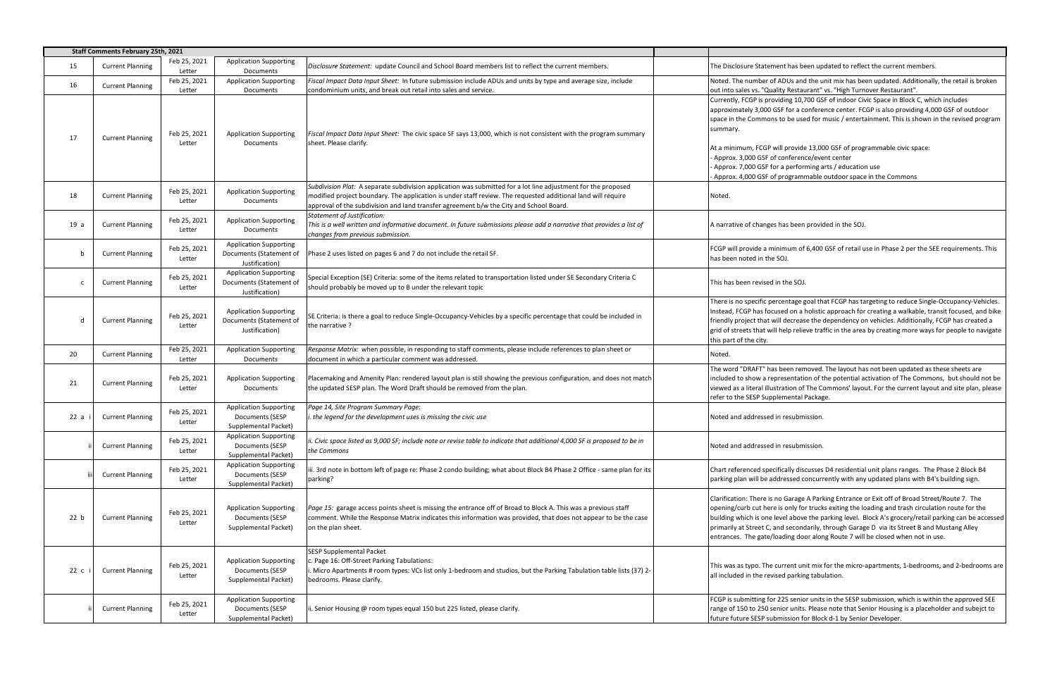|      | Staff Comments February 25th, 2021 |                        |                                                                            |                                                                                                                                                                                                                                                                                                                         |                                                                                                                                                                                                                                                                                                       |
|------|------------------------------------|------------------------|----------------------------------------------------------------------------|-------------------------------------------------------------------------------------------------------------------------------------------------------------------------------------------------------------------------------------------------------------------------------------------------------------------------|-------------------------------------------------------------------------------------------------------------------------------------------------------------------------------------------------------------------------------------------------------------------------------------------------------|
| 15   | <b>Current Planning</b>            | Feb 25, 2021<br>Letter | <b>Application Supporting</b><br>Documents                                 | Disclosure Statement: update Council and School Board members list to reflect the current members.                                                                                                                                                                                                                      | The Disclosure Statement has been up                                                                                                                                                                                                                                                                  |
| 16   | <b>Current Planning</b>            | Feb 25, 2021<br>Letter | <b>Application Supporting</b><br>Documents                                 | Fiscal Impact Data Input Sheet: In future submission include ADUs and units by type and average size, include<br>condominium units, and break out retail into sales and service.                                                                                                                                        | Noted. The number of ADUs and the u<br>out into sales vs. "Quality Restaurant"                                                                                                                                                                                                                        |
| 17   | <b>Current Planning</b>            | Feb 25, 2021<br>Letter | <b>Application Supporting</b><br>Documents                                 | Fiscal Impact Data Input Sheet: The civic space SF says 13,000, which is not consistent with the program summary<br>sheet. Please clarify.                                                                                                                                                                              | Currently, FCGP is providing 10,700 GS<br>approximately 3,000 GSF for a confere<br>space in the Commons to be used for r<br>summary.<br>At a minimum, FCGP will provide 13,00<br>- Approx. 3,000 GSF of conference/eve<br>- Approx. 7,000 GSF for a performing a<br>Approx. 4,000 GSF of programmable |
| 18   | <b>Current Planning</b>            | Feb 25, 2021<br>Letter | <b>Application Supporting</b><br>Documents                                 | Subdivision Plat: A separate subdivision application was submitted for a lot line adjustment for the proposed<br>modified project boundary. The application is under staff review. The requested additional land will require<br>approval of the subdivision and land transfer agreement b/w the City and School Board. | Noted.                                                                                                                                                                                                                                                                                                |
| 19 a | <b>Current Planning</b>            | Feb 25, 2021<br>Letter | <b>Application Supporting</b><br>Documents                                 | Statement of Justification:<br>This is a well written and informative document. In future submissions please add a narrative that provides a list of<br>changes from previous submission.                                                                                                                               | A narrative of changes has been provic                                                                                                                                                                                                                                                                |
| b    | <b>Current Planning</b>            | Feb 25, 2021<br>Letter | <b>Application Supporting</b><br>Documents (Statement of<br>Justification) | Phase 2 uses listed on pages 6 and 7 do not include the retail SF.                                                                                                                                                                                                                                                      | FCGP will provide a minimum of 6,400<br>has been noted in the SOJ.                                                                                                                                                                                                                                    |
| C    | <b>Current Planning</b>            | Feb 25, 2021<br>Letter | <b>Application Supporting</b><br>Documents (Statement of<br>Justification) | Special Exception (SE) Criteria: some of the items related to transportation listed under SE Secondary Criteria C<br>should probably be moved up to B under the relevant topic                                                                                                                                          | This has been revised in the SOJ.                                                                                                                                                                                                                                                                     |
| d    | <b>Current Planning</b>            | Feb 25, 2021<br>Letter | <b>Application Supporting</b><br>Documents (Statement of<br>Justification) | SE Criteria: is there a goal to reduce Single-Occupancy-Vehicles by a specific percentage that could be included in<br>the narrative?                                                                                                                                                                                   | There is no specific percentage goal tha<br>Instead, FCGP has focused on a holistic<br>friendly project that will decrease the o<br>grid of streets that will help relieve traf<br>this part of the city.                                                                                             |
| 20   | <b>Current Planning</b>            | Feb 25, 2021<br>Letter | <b>Application Supporting</b><br>Documents                                 | Response Matrix: when possible, in responding to staff comments, please include references to plan sheet or<br>document in which a particular comment was addressed.                                                                                                                                                    | Noted.                                                                                                                                                                                                                                                                                                |
| 21   | <b>Current Planning</b>            | Feb 25, 2021<br>Letter | <b>Application Supporting</b><br>Documents                                 | Placemaking and Amenity Plan: rendered layout plan is still showing the previous configuration, and does not match<br>the updated SESP plan. The Word Draft should be removed from the plan.                                                                                                                            | The word "DRAFT" has been removed.<br>included to show a representation of t<br>viewed as a literal illustration of The Co<br>refer to the SESP Supplemental Packag                                                                                                                                   |
| 22a  | <b>Current Planning</b>            | Feb 25, 2021<br>Letter | <b>Application Supporting</b><br>Documents (SESP<br>Supplemental Packet)   | Page 14, Site Program Summary Page:<br>i. the legend for the development uses is missing the civic use                                                                                                                                                                                                                  | Noted and addressed in resubmission.                                                                                                                                                                                                                                                                  |
|      | <b>Current Planning</b>            | Feb 25, 2021<br>Letter | <b>Application Supporting</b><br>Documents (SESP<br>Supplemental Packet)   | ii. Civic space listed as 9,000 SF; include note or revise table to indicate that additional 4,000 SF is proposed to be in<br>the Commons                                                                                                                                                                               | Noted and addressed in resubmission.                                                                                                                                                                                                                                                                  |
| iii  | <b>Current Planning</b>            | Feb 25, 2021<br>Letter | <b>Application Supporting</b><br>Documents (SESP<br>Supplemental Packet)   | iii. 3rd note in bottom left of page re: Phase 2 condo building; what about Block B4 Phase 2 Office - same plan for its<br>parking?                                                                                                                                                                                     | Chart referenced specifically discusses<br>parking plan will be addressed concurr                                                                                                                                                                                                                     |
| 22 b | <b>Current Planning</b>            | Feb 25, 2021<br>Letter | <b>Application Supporting</b><br>Documents (SESP<br>Supplemental Packet)   | Page 15: garage access points sheet is missing the entrance off of Broad to Block A. This was a previous staff<br>comment. While the Response Matrix indicates this information was provided, that does not appear to be the case<br>on the plan sheet.                                                                 | Clarification: There is no Garage A Park<br>opening/curb cut here is only for truck<br>building which is one level above the p<br>primarily at Street C, and secondarily, t<br>entrances. The gate/loading door alon                                                                                  |
| 22 c | <b>Current Planning</b>            | Feb 25, 2021<br>Letter | <b>Application Supporting</b><br>Documents (SESP<br>Supplemental Packet)   | <b>SESP Supplemental Packet</b><br>c. Page 16: Off-Street Parking Tabulations:<br>i. Micro Apartments # room types: VCs list only 1-bedroom and studios, but the Parking Tabulation table lists (37) 2-<br>bedrooms. Please clarify.                                                                                    | This was as typo. The current unit mix<br>all included in the revised parking tabu                                                                                                                                                                                                                    |
|      | <b>Current Planning</b>            | Feb 25, 2021<br>Letter | <b>Application Supporting</b><br>Documents (SESP<br>Supplemental Packet)   | ii. Senior Housing @ room types equal 150 but 225 listed, please clarify.                                                                                                                                                                                                                                               | FCGP is submitting for 225 senior units<br>range of 150 to 250 senior units. Pleas<br>future future SESP submission for Bloc                                                                                                                                                                          |

**nent has been updated to reflect the current members.** 

f ADUs and the unit mix has been updated. Additionally, the retail is broken ality Restaurant" vs. "High Turnover Restaurant". viding 10,700 GSF of indoor Civic Space in Block C, which includes

GSF for a conference center. FCGP is also providing 4,000 GSF of outdoor sto be used for music / entertainment. This is shown in the revised program

will provide 13,000 GSF of programmable civic space: f conference/event center r a performing arts / education use programmable outdoor space in the Commons

has been provided in the SOJ.

nimum of 6,400 GSF of retail use in Phase 2 per the SEE requirements. This soj.

rcentage goal that FCGP has targeting to reduce Single-Occupancy-Vehicles. used on a holistic approach for creating a walkable, transit focused, and bike vill decrease the dependency on vehicles. Additionally, FCGP has created a help relieve traffic in the area by creating more ways for people to navigate

been removed. The layout has not been updated as these sheets are presentation of the potential activation of The Commons, but should not be stration of The Commons' layout. For the current layout and site plan, please referental Package.

cifically discusses D4 residential unit plans ranges. The Phase 2 Block B4 ddressed concurrently with any updated plans with B4's building sign.

no Garage A Parking Entrance or Exit off of Broad Street/Route 7. The is only for trucks exiting the loading and trash circulation route for the level above the parking level. Block A's grocery/retail parking can be accessed  $\vert$ and secondarily, through Garage D via its Street B and Mustang Alley bading door along Route 7 will be closed when not in use.

current unit mix for the micro-apartments, 1-bedrooms, and 2-bedrooms are sed parking tabulation.

r 225 senior units in the SESP submission, which is within the approved SEE nior units. Please note that Senior Housing is a placeholder and subejct to omission for Block d-1 by Senior Developer.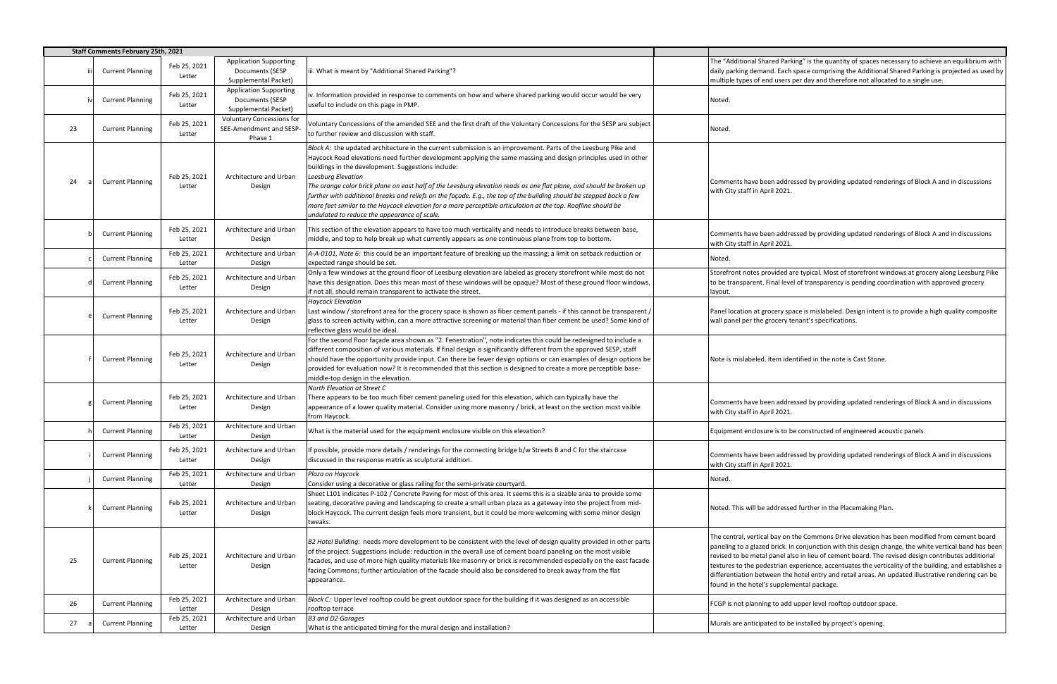|    | <b>Staff Comments February 25th, 2021</b> |                        |                                                                          |                                                                                                                                                                                                                                                                                                                                                                                                                                                                                                                                                                                                                                                                                                                              |                                                                                                                                                                |
|----|-------------------------------------------|------------------------|--------------------------------------------------------------------------|------------------------------------------------------------------------------------------------------------------------------------------------------------------------------------------------------------------------------------------------------------------------------------------------------------------------------------------------------------------------------------------------------------------------------------------------------------------------------------------------------------------------------------------------------------------------------------------------------------------------------------------------------------------------------------------------------------------------------|----------------------------------------------------------------------------------------------------------------------------------------------------------------|
|    | <b>Current Planning</b>                   | Feb 25, 2021<br>Letter | <b>Application Supporting</b><br>Documents (SESP<br>Supplemental Packet) | iii. What is meant by "Additional Shared Parking"?                                                                                                                                                                                                                                                                                                                                                                                                                                                                                                                                                                                                                                                                           | The "Additional Shared<br>daily parking demand.<br>multiple types of end u                                                                                     |
|    | <b>Current Planning</b>                   | Feb 25, 2021<br>Letter | <b>Application Supporting</b><br>Documents (SESP<br>Supplemental Packet) | iv. Information provided in response to comments on how and where shared parking would occur would be very<br>useful to include on this page in PMP.                                                                                                                                                                                                                                                                                                                                                                                                                                                                                                                                                                         | Noted.                                                                                                                                                         |
| 23 | <b>Current Planning</b>                   | Feb 25, 2021<br>Letter | <b>Voluntary Concessions for</b><br>SEE-Amendment and SESP-<br>Phase 1   | Voluntary Concessions of the amended SEE and the first draft of the Voluntary Concessions for the SESP are subject<br>to further review and discussion with staff.                                                                                                                                                                                                                                                                                                                                                                                                                                                                                                                                                           | Noted.                                                                                                                                                         |
| 24 | <b>Current Planning</b>                   | Feb 25, 2021<br>Letter | Architecture and Urban<br>Design                                         | Block A: the updated architecture in the current submission is an improvement. Parts of the Leesburg Pike and<br>Haycock Road elevations need further development applying the same massing and design principles used in other<br>buildings in the development. Suggestions include:<br>Leesburg Elevation<br>The orange color brick plane on east half of the Leesburg elevation reads as one flat plane, and should be broken up<br>further with additional breaks and reliefs on the façade. E.g., the top of the building should be stepped back a few<br>more feet similar to the Haycock elevation for a more perceptible articulation at the top. Roofline should be<br>undulated to reduce the appearance of scale. | Comments have been<br>with City staff in April 2                                                                                                               |
|    | <b>Current Planning</b>                   | Feb 25, 2021<br>Letter | Architecture and Urban<br>Design                                         | This section of the elevation appears to have too much verticality and needs to introduce breaks between base,<br>middle, and top to help break up what currently appears as one continuous plane from top to bottom.                                                                                                                                                                                                                                                                                                                                                                                                                                                                                                        | Comments have been<br>with City staff in April 2                                                                                                               |
|    | <b>Current Planning</b>                   | Feb 25, 2021<br>Letter | Architecture and Urban<br>Design                                         | A-A-0101, Note 6: this could be an important feature of breaking up the massing; a limit on setback reduction or<br>expected range should be set.                                                                                                                                                                                                                                                                                                                                                                                                                                                                                                                                                                            | Noted.                                                                                                                                                         |
|    | <b>Current Planning</b>                   | Feb 25, 2021<br>Letter | Architecture and Urban<br>Design                                         | Only a few windows at the ground floor of Leesburg elevation are labeled as grocery storefront while most do not<br>have this designation. Does this mean most of these windows will be opaque? Most of these ground floor windows,<br>if not all, should remain transparent to activate the street.                                                                                                                                                                                                                                                                                                                                                                                                                         | Storefront notes provi<br>to be transparent. Fina<br>layout.                                                                                                   |
|    | <b>Current Planning</b>                   | Feb 25, 2021<br>Letter | Architecture and Urban<br>Design                                         | <b>Haycock Elevation</b><br>Last window / storefront area for the grocery space is shown as fiber cement panels - if this cannot be transparent /<br>glass to screen activity within, can a more attractive screening or material than fiber cement be used? Some kind of<br>reflective glass would be ideal.                                                                                                                                                                                                                                                                                                                                                                                                                | Panel location at groce<br>wall panel per the grod                                                                                                             |
|    | <b>Current Planning</b>                   | Feb 25, 2021<br>Letter | Architecture and Urban<br>Design                                         | For the second floor façade area shown as "2. Fenestration", note indicates this could be redesigned to include a<br>different composition of various materials. If final design is significantly different from the approved SESP, staff<br>should have the opportunity provide input. Can there be fewer design options or can examples of design options be<br>provided for evaluation now? It is recommended that this section is designed to create a more perceptible base-<br>middle-top design in the elevation.                                                                                                                                                                                                     | Note is mislabeled. Iter                                                                                                                                       |
|    | <b>Current Planning</b>                   | Feb 25, 2021<br>Letter | Architecture and Urban<br>Design                                         | North Elevation at Street C<br>There appears to be too much fiber cement paneling used for this elevation, which can typically have the<br>appearance of a lower quality material. Consider using more masonry / brick, at least on the section most visible<br>from Haycock.                                                                                                                                                                                                                                                                                                                                                                                                                                                | Comments have been<br>with City staff in April 2                                                                                                               |
|    | <b>Current Planning</b>                   | Feb 25, 2021<br>Letter | Architecture and Urban<br>Design                                         | What is the material used for the equipment enclosure visible on this elevation?                                                                                                                                                                                                                                                                                                                                                                                                                                                                                                                                                                                                                                             | Equipment enclosure is                                                                                                                                         |
|    | <b>Current Planning</b>                   | Feb 25, 2021<br>Letter | Architecture and Urban<br>Design                                         | If possible, provide more details / renderings for the connecting bridge b/w Streets B and C for the staircase<br>discussed in the response matrix as sculptural addition.                                                                                                                                                                                                                                                                                                                                                                                                                                                                                                                                                   | Comments have been<br>with City staff in April 2                                                                                                               |
|    | <b>Current Planning</b>                   | Feb 25, 2021<br>Letter | Architecture and Urban<br>Design                                         | Plaza on Haycock<br>Consider using a decorative or glass railing for the semi-private courtyard.                                                                                                                                                                                                                                                                                                                                                                                                                                                                                                                                                                                                                             | Noted.                                                                                                                                                         |
|    | <b>Current Planning</b>                   | Feb 25, 2021<br>Letter | Architecture and Urban<br>Design                                         | Sheet L101 indicates P-102 / Concrete Paving for most of this area. It seems this is a sizable area to provide some<br>seating, decorative paving and landscaping to create a small urban plaza as a gateway into the project from mid-<br>block Haycock. The current design feels more transient, but it could be more welcoming with some minor design<br>tweaks.                                                                                                                                                                                                                                                                                                                                                          | Noted. This will be add                                                                                                                                        |
| 25 | <b>Current Planning</b>                   | Feb 25, 2021<br>Letter | Architecture and Urban<br>Design                                         | B2 Hotel Building: needs more development to be consistent with the level of design quality provided in other parts<br>of the project. Suggestions include: reduction in the overall use of cement board paneling on the most visible<br>facades, and use of more high quality materials like masonry or brick is recommended especially on the east facade<br>facing Commons; further articulation of the facade should also be considered to break away from the flat<br>appearance.                                                                                                                                                                                                                                       | The central, vertical ba<br>paneling to a glazed br<br>revised to be metal par<br>textures to the pedesti<br>differentiation betwee<br>found in the hotel's su |
| 26 | <b>Current Planning</b>                   | Feb 25, 2021<br>Letter | Architecture and Urban<br>Design                                         | Block C: Upper level rooftop could be great outdoor space for the building if it was designed as an accessible<br>rooftop terrace                                                                                                                                                                                                                                                                                                                                                                                                                                                                                                                                                                                            | FCGP is not planning to                                                                                                                                        |
| 27 | <b>Current Planning</b>                   | Feb 25, 2021<br>Letter | Architecture and Urban<br>Design                                         | B3 and D2 Garages<br>What is the anticipated timing for the mural design and installation?                                                                                                                                                                                                                                                                                                                                                                                                                                                                                                                                                                                                                                   | Murals are anticipated                                                                                                                                         |
|    |                                           |                        |                                                                          |                                                                                                                                                                                                                                                                                                                                                                                                                                                                                                                                                                                                                                                                                                                              |                                                                                                                                                                |

I Parking" is the quantity of spaces necessary to achieve an equilibrium with . Each space comprising the Additional Shared Parking is projected as used by isers per day and therefore not allocated to a single use.

addressed by providing updated renderings of Block A and in discussions 2021.

addressed by providing updated renderings of Block A and in discussions 2021.

ded are typical. Most of storefront windows at grocery along Leesburg Pike al level of transparency is pending coordination with approved grocery

ery space is mislabeled. Design intent is to provide a high quality composite cery tenant's specifications.

em identified in the note is Cast Stone.

addressed by providing updated renderings of Block A and in discussions  $2021.$ 

s to be constructed of engineered acoustic panels.

addressed by providing updated renderings of Block A and in discussions 2021.

Iressed further in the Placemaking Plan.

ay on the Commons Drive elevation has been modified from cement board ick. In conjunction with this design change, the white vertical band has been nel also in lieu of cement board. The revised design contributes additional rian experience, accentuates the verticality of the building, and establishes a en the hotel entry and retail areas. An updated illustrative rendering can be pplemental package.

rooftop add upper level rooftop outdoor space.

to be installed by project's opening.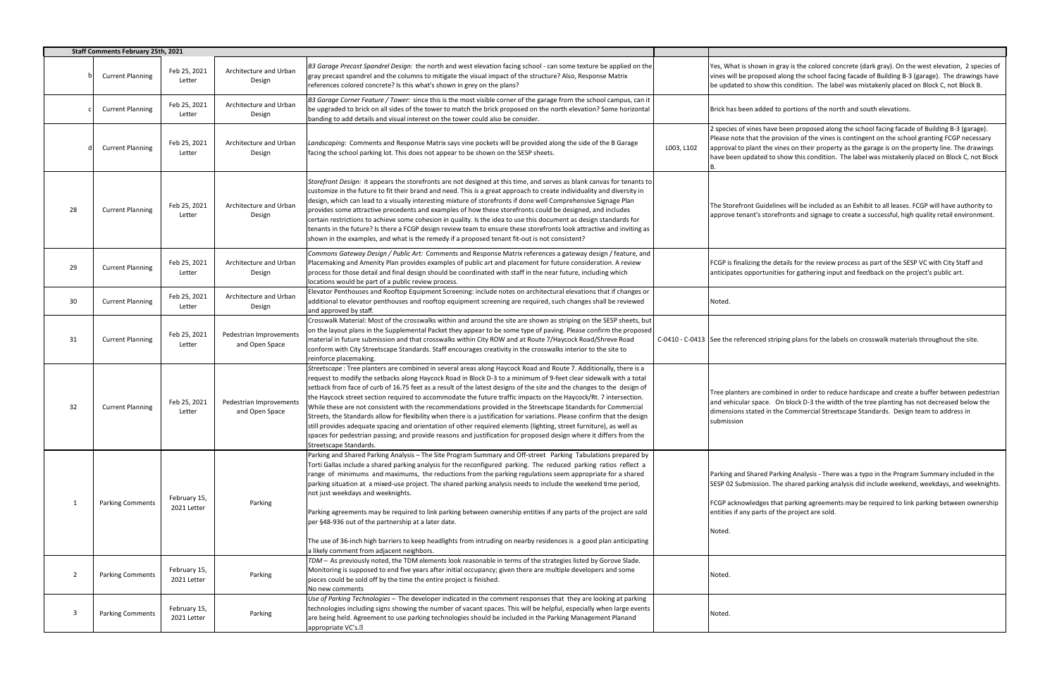|                | <b>Staff Comments February 25th, 2021</b> |                             |                                           |                                                                                                                                                                                                                                                                                                                                                                                                                                                                                                                                                                                                                                                                                                                                                                                                                                                                                                                                                                                                          |            |                                                                                                               |
|----------------|-------------------------------------------|-----------------------------|-------------------------------------------|----------------------------------------------------------------------------------------------------------------------------------------------------------------------------------------------------------------------------------------------------------------------------------------------------------------------------------------------------------------------------------------------------------------------------------------------------------------------------------------------------------------------------------------------------------------------------------------------------------------------------------------------------------------------------------------------------------------------------------------------------------------------------------------------------------------------------------------------------------------------------------------------------------------------------------------------------------------------------------------------------------|------------|---------------------------------------------------------------------------------------------------------------|
| $\mathsf{b}$   | <b>Current Planning</b>                   | Feb 25, 2021<br>Letter      | Architecture and Urban<br>Design          | B3 Garage Precast Spandrel Design: the north and west elevation facing school - can some texture be applied on the<br>gray precast spandrel and the columns to mitigate the visual impact of the structure? Also, Response Matrix<br>references colored concrete? Is this what's shown in grey on the plans?                                                                                                                                                                                                                                                                                                                                                                                                                                                                                                                                                                                                                                                                                             |            | Yes, What is shown in<br>vines will be proposed<br>be updated to show th                                      |
|                | <b>Current Planning</b>                   | Feb 25, 2021<br>Letter      | Architecture and Urban<br>Design          | B3 Garage Corner Feature / Tower: since this is the most visible corner of the garage from the school campus, can it<br>be upgraded to brick on all sides of the tower to match the brick proposed on the north elevation? Some horizontal<br>banding to add details and visual interest on the tower could also be consider.                                                                                                                                                                                                                                                                                                                                                                                                                                                                                                                                                                                                                                                                            |            | Brick has been added t                                                                                        |
| d              | <b>Current Planning</b>                   | Feb 25, 2021<br>Letter      | Architecture and Urban<br>Design          | Landscaping: Comments and Response Matrix says vine pockets will be provided along the side of the B Garage<br>facing the school parking lot. This does not appear to be shown on the SESP sheets.                                                                                                                                                                                                                                                                                                                                                                                                                                                                                                                                                                                                                                                                                                                                                                                                       | L003, L102 | 2 species of vines have<br>Please note that the pi<br>approval to plant the v<br>have been updated to         |
| 28             | <b>Current Planning</b>                   | Feb 25, 2021<br>Letter      | Architecture and Urban<br>Design          | Storefront Design: it appears the storefronts are not designed at this time, and serves as blank canvas for tenants to<br>customize in the future to fit their brand and need. This is a great approach to create individuality and diversity in<br>design, which can lead to a visually interesting mixture of storefronts if done well Comprehensive Signage Plan<br>provides some attractive precedents and examples of how these storefronts could be designed, and includes<br>certain restrictions to achieve some cohesion in quality. Is the idea to use this document as design standards for<br>tenants in the future? Is there a FCGP design review team to ensure these storefronts look attractive and inviting as<br>shown in the examples, and what is the remedy if a proposed tenant fit-out is not consistent?                                                                                                                                                                         |            | The Storefront Guideli<br>approve tenant's store                                                              |
| 29             | <b>Current Planning</b>                   | Feb 25, 2021<br>Letter      | Architecture and Urban<br>Design          | Commons Gateway Design / Public Art: Comments and Response Matrix references a gateway design / feature, and<br>Placemaking and Amenity Plan provides examples of public art and placement for future consideration. A review<br>process for those detail and final design should be coordinated with staff in the near future, including which<br>locations would be part of a public review process.                                                                                                                                                                                                                                                                                                                                                                                                                                                                                                                                                                                                   |            | FCGP is finalizing the d<br>anticipates opportunit                                                            |
| 30             | <b>Current Planning</b>                   | Feb 25, 2021<br>Letter      | Architecture and Urban<br>Design          | Elevator Penthouses and Rooftop Equipment Screening: include notes on architectural elevations that if changes or<br>additional to elevator penthouses and rooftop equipment screening are required, such changes shall be reviewed<br>and approved by staff.                                                                                                                                                                                                                                                                                                                                                                                                                                                                                                                                                                                                                                                                                                                                            |            | Noted.                                                                                                        |
| 31             | <b>Current Planning</b>                   | Feb 25, 2021<br>Letter      | Pedestrian Improvements<br>and Open Space | Crosswalk Material: Most of the crosswalks within and around the site are shown as striping on the SESP sheets, but<br>on the layout plans in the Supplemental Packet they appear to be some type of paving. Please confirm the proposed<br>material in future submission and that crosswalks within City ROW and at Route 7/Haycock Road/Shreve Road<br>conform with City Streetscape Standards. Staff encourages creativity in the crosswalks interior to the site to<br>reinforce placemaking.                                                                                                                                                                                                                                                                                                                                                                                                                                                                                                        |            | C-0410 - C-0413 See the referenced stri                                                                       |
| 32             | <b>Current Planning</b>                   | Feb 25, 2021<br>Letter      | Pedestrian Improvements<br>and Open Space | Streetscape: Tree planters are combined in several areas along Haycock Road and Route 7. Additionally, there is a<br>request to modify the setbacks along Haycock Road in Block D-3 to a minimum of 9-feet clear sidewalk with a total<br>setback from face of curb of 16.75 feet as a result of the latest designs of the site and the changes to the design of<br>the Haycock street section required to accommodate the future traffic impacts on the Haycock/Rt. 7 intersection.<br>While these are not consistent with the recommendations provided in the Streetscape Standards for Commercial<br>Streets, the Standards allow for flexibility when there is a justification for variations. Please confirm that the design<br>still provides adequate spacing and orientation of other required elements (lighting, street furniture), as well as<br>spaces for pedestrian passing; and provide reasons and justification for proposed design where it differs from the<br>Streetscape Standards. |            | Tree planters are coml<br>and vehicular space. (<br>dimensions stated in tl<br>submission                     |
| 1              | <b>Parking Comments</b>                   | February 15,<br>2021 Letter | Parking                                   | Parking and Shared Parking Analysis - The Site Program Summary and Off-street Parking Tabulations prepared by<br>Torti Gallas include a shared parking analysis for the reconfigured parking. The reduced parking ratios reflect a<br>range of minimums and maximums, the reductions from the parking regulations seem appropriate for a shared<br>parking situation at a mixed-use project. The shared parking analysis needs to include the weekend time period,<br>not just weekdays and weeknights.<br>Parking agreements may be required to link parking between ownership entities if any parts of the project are sold<br>per §48-936 out of the partnership at a later date.<br>The use of 36-inch high barriers to keep headlights from intruding on nearby residences is a good plan anticipating<br>a likely comment from adjacent neighbors.                                                                                                                                                 |            | Parking and Shared Pa<br>SESP 02 Submission. Tl<br>FCGP acknowledges th<br>entities if any parts of<br>Noted. |
| $\overline{2}$ | <b>Parking Comments</b>                   | February 15,<br>2021 Letter | Parking                                   | TDM - As previously noted, the TDM elements look reasonable in terms of the strategies listed by Gorove Slade.<br>Monitoring is supposed to end five years after initial occupancy; given there are multiple developers and some<br>pieces could be sold off by the time the entire project is finished.<br>No new comments                                                                                                                                                                                                                                                                                                                                                                                                                                                                                                                                                                                                                                                                              |            | Noted.                                                                                                        |
| 3              | <b>Parking Comments</b>                   | February 15,<br>2021 Letter | Parking                                   | Use of Parking Technologies - The developer indicated in the comment responses that they are looking at parking<br>technologies including signs showing the number of vacant spaces. This will be helpful, especially when large events<br>are being held. Agreement to use parking technologies should be included in the Parking Management Planand<br>appropriate VC's. <sup>[2]</sup>                                                                                                                                                                                                                                                                                                                                                                                                                                                                                                                                                                                                                |            | Noted.                                                                                                        |

gray is the colored concrete (dark gray). On the west elevation, 2 species of along the school facing facade of Building B-3 (garage). The drawings have his condition. The label was mistakenly placed on Block C, not Block B.

to portions of the north and south elevations.

been proposed along the school facing facade of Building B-3 (garage). rovision of the vines is contingent on the school granting FCGP necessary vines on their property as the garage is on the property line. The drawings o show this condition. The label was mistakenly placed on Block C, not Block

ines will be included as an Exhibit to all leases. FCGP will have authority to efronts and signage to create a successful, high quality retail environment.

details for the review process as part of the SESP VC with City Staff and ties for gathering input and feedback on the project's public art.

riping plans for the labels on crosswalk materials throughout the site.

Ibined in order to reduce hardscape and create a buffer between pedestrian On block D-3 the width of the tree planting has not decreased below the the Commercial Streetscape Standards. Design team to address in

arking Analysis - There was a typo in the Program Summary included in the The shared parking analysis did include weekend, weekdays, and weeknights.

hat parking agreements may be required to link parking between ownership  $\dot{\ }$  the project are sold.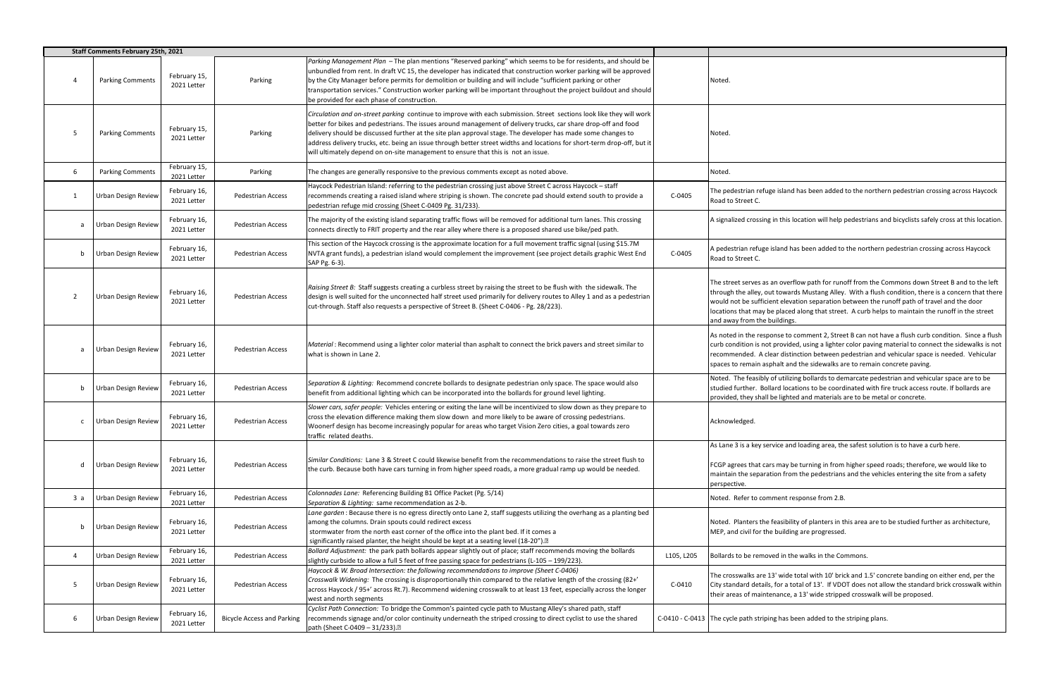|              | Staff Comments February 25th, 2021 |                             |                                   |                                                                                                                                                                                                                                                                                                                                                                                                                                                                                                                                                                        |            |                                                                                                                                                                                                                                                                 |
|--------------|------------------------------------|-----------------------------|-----------------------------------|------------------------------------------------------------------------------------------------------------------------------------------------------------------------------------------------------------------------------------------------------------------------------------------------------------------------------------------------------------------------------------------------------------------------------------------------------------------------------------------------------------------------------------------------------------------------|------------|-----------------------------------------------------------------------------------------------------------------------------------------------------------------------------------------------------------------------------------------------------------------|
| 4            | <b>Parking Comments</b>            | February 15,<br>2021 Letter | Parking                           | Parking Management Plan - The plan mentions "Reserved parking" which seems to be for residents, and should be<br>unbundled from rent. In draft VC 15, the developer has indicated that construction worker parking will be approved<br>by the City Manager before permits for demolition or building and will include "sufficient parking or other<br>transportation services." Construction worker parking will be important throughout the project buildout and should<br>be provided for each phase of construction.                                                |            | Noted.                                                                                                                                                                                                                                                          |
| 5            | <b>Parking Comments</b>            | February 15,<br>2021 Letter | Parking                           | Circulation and on-street parking continue to improve with each submission. Street sections look like they will work<br>better for bikes and pedestrians. The issues around management of delivery trucks, car share drop-off and food<br>delivery should be discussed further at the site plan approval stage. The developer has made some changes to<br>address delivery trucks, etc. being an issue through better street widths and locations for short-term drop-off, but it<br>will ultimately depend on on-site management to ensure that this is not an issue. |            | Noted.                                                                                                                                                                                                                                                          |
| 6            | <b>Parking Comments</b>            | February 15,<br>2021 Letter | Parking                           | The changes are generally responsive to the previous comments except as noted above.                                                                                                                                                                                                                                                                                                                                                                                                                                                                                   |            | Noted.                                                                                                                                                                                                                                                          |
| 1            | Urban Design Review                | February 16,<br>2021 Letter | Pedestrian Access                 | Haycock Pedestrian Island: referring to the pedestrian crossing just above Street C across Haycock - staff<br>recommends creating a raised island where striping is shown. The concrete pad should extend south to provide a<br>pedestrian refuge mid crossing (Sheet C-0409 Pg. 31/233).                                                                                                                                                                                                                                                                              | C-0405     | The pedestrian refuge island has been added to the ne<br>Road to Street C.                                                                                                                                                                                      |
| a            | Urban Design Review                | February 16,<br>2021 Letter | Pedestrian Access                 | The majority of the existing island separating traffic flows will be removed for additional turn lanes. This crossing<br>connects directly to FRIT property and the rear alley where there is a proposed shared use bike/ped path.                                                                                                                                                                                                                                                                                                                                     |            | A signalized crossing in this location will help pedestriant                                                                                                                                                                                                    |
| b            | Urban Design Review                | February 16,<br>2021 Letter | <b>Pedestrian Access</b>          | This section of the Haycock crossing is the approximate location for a full movement traffic signal (using \$15.7M<br>NVTA grant funds), a pedestrian island would complement the improvement (see project details graphic West End<br>SAP Pg. 6-3).                                                                                                                                                                                                                                                                                                                   | C-0405     | A pedestrian refuge island has been added to the nor<br>Road to Street C.                                                                                                                                                                                       |
| 2            | Urban Design Review                | February 16,<br>2021 Letter | <b>Pedestrian Access</b>          | Raising Street B: Staff suggests creating a curbless street by raising the street to be flush with the sidewalk. The<br>design is well suited for the unconnected half street used primarily for delivery routes to Alley 1 and as a pedestrian<br>cut-through. Staff also requests a perspective of Street B. (Sheet C-0406 - Pg. 28/223).                                                                                                                                                                                                                            |            | The street serves as an overflow path for runoff from<br>through the alley, out towards Mustang Alley. With a<br>would not be sufficient elevation separation between<br>locations that may be placed along that street. A curk<br>and away from the buildings. |
| a            | Urban Design Review                | February 16,<br>2021 Letter | <b>Pedestrian Access</b>          | Material: Recommend using a lighter color material than asphalt to connect the brick pavers and street similar to<br>what is shown in Lane 2.                                                                                                                                                                                                                                                                                                                                                                                                                          |            | As noted in the response to comment 2, Street B can<br>curb condition is not provided, using a lighter color pa<br>recommended. A clear distinction between pedestria<br>spaces to remain asphalt and the sidewalks are to ren                                  |
| b            | Urban Design Review                | February 16,<br>2021 Letter | <b>Pedestrian Access</b>          | Separation & Lighting: Recommend concrete bollards to designate pedestrian only space. The space would also<br>benefit from additional lighting which can be incorporated into the bollards for ground level lighting.                                                                                                                                                                                                                                                                                                                                                 |            | Noted. The feasibly of utilizing bollards to demarcate<br>studied further. Bollard locations to be coordinated v<br>provided, they shall be lighted and materials are to be                                                                                     |
| $\mathsf{C}$ | Urban Design Review                | February 16,<br>2021 Letter | <b>Pedestrian Access</b>          | Slower cars, safer people: Vehicles entering or exiting the lane will be incentivized to slow down as they prepare to<br>cross the elevation difference making them slow down and more likely to be aware of crossing pedestrians.<br>Woonerf design has become increasingly popular for areas who target Vision Zero cities, a goal towards zero<br>traffic related deaths.                                                                                                                                                                                           |            | Acknowledged                                                                                                                                                                                                                                                    |
| d            | Urban Design Review                | February 16,<br>2021 Letter | <b>Pedestrian Access</b>          | Similar Conditions: Lane 3 & Street C could likewise benefit from the recommendations to raise the street flush to<br>the curb. Because both have cars turning in from higher speed roads, a more gradual ramp up would be needed.                                                                                                                                                                                                                                                                                                                                     |            | As Lane 3 is a key service and loading area, the safest<br>FCGP agrees that cars may be turning in from higher s<br>maintain the separation from the pedestrians and the<br>perspective.                                                                        |
| 3 a          | Urban Design Review                | February 16,<br>2021 Letter | <b>Pedestrian Access</b>          | Colonnades Lane: Referencing Building B1 Office Packet (Pg. 5/14)<br>Separation & Lighting: same recommendation as 2-b.                                                                                                                                                                                                                                                                                                                                                                                                                                                |            | Noted. Refer to comment response from 2.B.                                                                                                                                                                                                                      |
| b            | Urban Design Review                | February 16,<br>2021 Letter | Pedestrian Access                 | Lane garden : Because there is no egress directly onto Lane 2, staff suggests utilizing the overhang as a planting bed<br>among the columns. Drain spouts could redirect excess<br>stormwater from the north east corner of the office into the plant bed. If it comes a<br>significantly raised planter, the height should be kept at a seating level (18-20"). <sup>[9]</sup>                                                                                                                                                                                        |            | Noted. Planters the feasibility of planters in this area<br>MEP, and civil for the building are progressed.                                                                                                                                                     |
| 4            | Urban Design Review                | February 16,<br>2021 Letter | <b>Pedestrian Access</b>          | Bollard Adjustment: the park path bollards appear slightly out of place; staff recommends moving the bollards<br>slightly curbside to allow a full 5 feet of free passing space for pedestrians (L-105 - 199/223).                                                                                                                                                                                                                                                                                                                                                     | L105, L205 | Bollards to be removed in the walks in the Commons.                                                                                                                                                                                                             |
| 5            | Urban Design Review                | February 16,<br>2021 Letter | <b>Pedestrian Access</b>          | Haycock & W. Broad Intersection: the following recommendations to improve (Sheet C-0406)<br>Crosswalk Widening: The crossing is disproportionally thin compared to the relative length of the crossing (82+'<br>across Haycock / 95+' across Rt.7). Recommend widening crosswalk to at least 13 feet, especially across the longer<br>west and north segments                                                                                                                                                                                                          | $C-0410$   | The crosswalks are 13' wide total with 10' brick and 1.<br>City standard details, for a total of 13'. If VDOT does a<br>their areas of maintenance, a 13' wide stripped crossy                                                                                  |
| 6            | Urban Design Review                | February 16,<br>2021 Letter | <b>Bicycle Access and Parking</b> | Cyclist Path Connection: To bridge the Common's painted cycle path to Mustang Alley's shared path, staff<br>recommends signage and/or color continuity underneath the striped crossing to direct cyclist to use the shared<br>path (Sheet C-0409 - 31/233). <sup>1</sup>                                                                                                                                                                                                                                                                                               |            | C-0410 - C-0413 The cycle path striping has been added to the striping                                                                                                                                                                                          |

island has been added to the northern pedestrian crossing across Haycock

I this location will help pedestrians and bicyclists safely cross at this location.

and has been added to the northern pedestrian crossing across Haycock

overflow path for runoff from the Commons down Street B and to the left towards Mustang Alley. With a flush condition, there is a concern that there t elevation separation between the runoff path of travel and the door placed along that street. A curb helps to maintain the runoff in the street ildings.

se to comment 2, Street B can not have a flush curb condition. Since a flush rovided, using a lighter color paving material to connect the sidewalks is not r distinction between pedestrian and vehicular space is needed. Vehicular alt and the sidewalks are to remain concrete paving.

utilizing bollards to demarcate pedestrian and vehicular space are to be d locations to be coordinated with fire truck access route. If bollards are lighted and materials are to be metal or concrete.

ce and loading area, the safest solution is to have a curb here.

may be turning in from higher speed roads; therefore, we would like to m from the pedestrians and the vehicles entering the site from a safety

asibility of planters in this area are to be studied further as architecture, building are progressed.

wide total with 10' brick and 1.5' concrete banding on either end, per the or a total of 13'. If VDOT does not allow the standard brick crosswalk within ance, a 13' wide stripped crosswalk will be proposed.

has been added to the striping plans.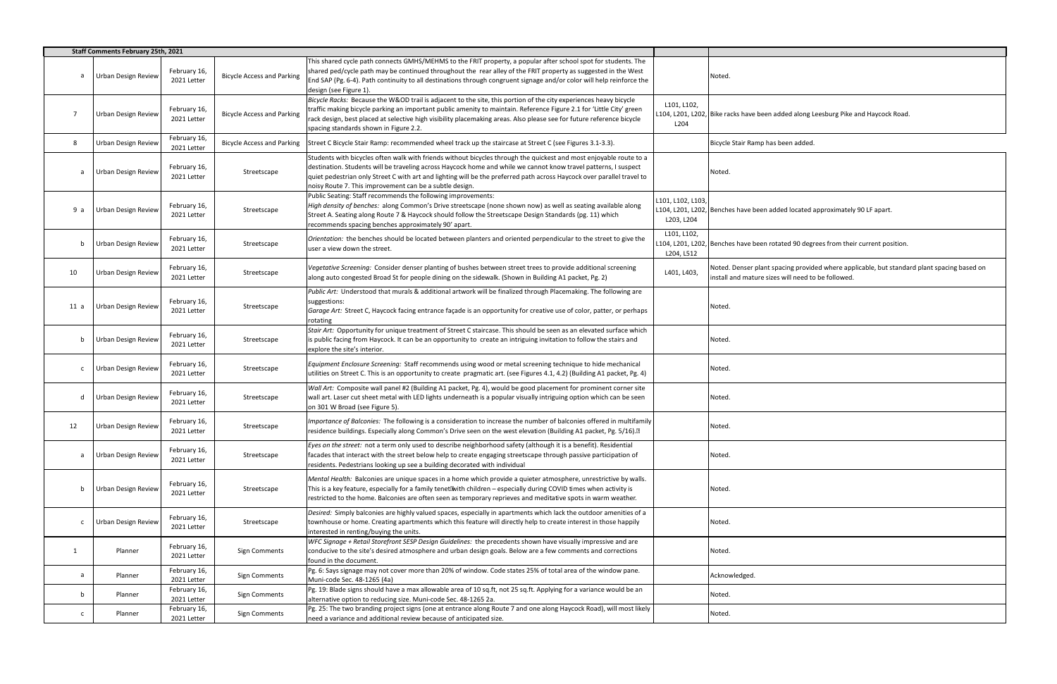|                | Staff Comments February 25th, 2021 |                             |                                   |                                                                                                                                                                                                                                                                                                                                                                                                                            |                                 |                                                                             |
|----------------|------------------------------------|-----------------------------|-----------------------------------|----------------------------------------------------------------------------------------------------------------------------------------------------------------------------------------------------------------------------------------------------------------------------------------------------------------------------------------------------------------------------------------------------------------------------|---------------------------------|-----------------------------------------------------------------------------|
| a              | Urban Design Review                | February 16,<br>2021 Letter | <b>Bicycle Access and Parking</b> | This shared cycle path connects GMHS/MEHMS to the FRIT property, a popular after school spot for students. The<br>shared ped/cycle path may be continued throughout the rear alley of the FRIT property as suggested in the West<br>End SAP (Pg. 6-4). Path continuity to all destinations through congruent signage and/or color will help reinforce the<br>design (see Figure 1).                                        |                                 | Noted.                                                                      |
| $\overline{7}$ | Urban Design Review                | February 16,<br>2021 Letter | <b>Bicycle Access and Parking</b> | Bicycle Racks: Because the W&OD trail is adjacent to the site, this portion of the city experiences heavy bicycle<br>traffic making bicycle parking an important public amenity to maintain. Reference Figure 2.1 for 'Little City' green<br>rack design, best placed at selective high visibility placemaking areas. Also please see for future reference bicycle<br>spacing standards shown in Figure 2.2.               | L101, L102,<br>L204             | L104, L201, L202, Bike racks have been added along L                        |
| 8              | Urban Design Review                | February 16,<br>2021 Letter | <b>Bicycle Access and Parking</b> | Street C Bicycle Stair Ramp: recommended wheel track up the staircase at Street C (see Figures 3.1-3.3).                                                                                                                                                                                                                                                                                                                   |                                 | Bicycle Stair Ramp has been added.                                          |
| a              | Urban Design Review                | February 16,<br>2021 Letter | Streetscape                       | Students with bicycles often walk with friends without bicycles through the quickest and most enjoyable route to a<br>destination. Students will be traveling across Haycock home and while we cannot know travel patterns, I suspect<br>quiet pedestrian only Street C with art and lighting will be the preferred path across Haycock over parallel travel to<br>noisy Route 7. This improvement can be a subtle design. |                                 | Noted.                                                                      |
| 9 a            | Urban Design Review                | February 16,<br>2021 Letter | Streetscape                       | Public Seating: Staff recommends the following improvements:<br>High density of benches: along Common's Drive streetscape (none shown now) as well as seating available along<br>Street A. Seating along Route 7 & Haycock should follow the Streetscape Design Standards (pg. 11) which<br>recommends spacing benches approximately 90' apart.                                                                            | L101, L102, L103,<br>L203, L204 | L104, L201, L202, Benches have been added located a                         |
| b              | Urban Design Review                | February 16,<br>2021 Letter | Streetscape                       | Orientation: the benches should be located between planters and oriented perpendicular to the street to give the<br>user a view down the street.                                                                                                                                                                                                                                                                           | L101, L102,<br>L204, L512       | L104, L201, L202, Benches have been rotated 90 degr                         |
| 10             | Urban Design Review                | February 16,<br>2021 Letter | Streetscape                       | Vegetative Screening: Consider denser planting of bushes between street trees to provide additional screening<br>along auto congested Broad St for people dining on the sidewalk. (Shown in Building A1 packet, Pg. 2)                                                                                                                                                                                                     | L401, L403,                     | Noted. Denser plant spacing provid<br>install and mature sizes will need to |
| 11 a           | Urban Design Review                | February 16,<br>2021 Letter | Streetscape                       | Public Art: Understood that murals & additional artwork will be finalized through Placemaking. The following are<br>suggestions:<br>Garage Art: Street C, Haycock facing entrance façade is an opportunity for creative use of color, patter, or perhaps<br>rotating                                                                                                                                                       |                                 | Noted.                                                                      |
| b              | Urban Design Review                | February 16,<br>2021 Letter | Streetscape                       | Stair Art: Opportunity for unique treatment of Street C staircase. This should be seen as an elevated surface which<br>is public facing from Haycock. It can be an opportunity to create an intriguing invitation to follow the stairs and<br>explore the site's interior.                                                                                                                                                 |                                 | Noted.                                                                      |
| с              | Urban Design Review                | February 16,<br>2021 Letter | Streetscape                       | Equipment Enclosure Screening: Staff recommends using wood or metal screening technique to hide mechanical<br>utilities on Street C. This is an opportunity to create pragmatic art. (see Figures 4.1, 4.2) (Building A1 packet, Pg. 4)                                                                                                                                                                                    |                                 | Noted.                                                                      |
| d              | Urban Design Review                | February 16,<br>2021 Letter | Streetscape                       | Wall Art: Composite wall panel #2 (Building A1 packet, Pg. 4), would be good placement for prominent corner site<br>wall art. Laser cut sheet metal with LED lights underneath is a popular visually intriguing option which can be seen<br>on 301 W Broad (see Figure 5).                                                                                                                                                 |                                 | Noted.                                                                      |
| 12             | Urban Design Review                | February 16,<br>2021 Letter | Streetscape                       | Importance of Balconies: The following is a consideration to increase the number of balconies offered in multifamily<br>residence buildings. Especially along Common's Drive seen on the west elevation (Building A1 packet, Pg. 5/16). <sup>[2]</sup>                                                                                                                                                                     |                                 | Noted.                                                                      |
| a              | Urban Design Review                | February 16,<br>2021 Letter | Streetscape                       | Eyes on the street: not a term only used to describe neighborhood safety (although it is a benefit). Residential<br>facades that interact with the street below help to create engaging streetscape through passive participation of<br>residents. Pedestrians looking up see a building decorated with individual                                                                                                         |                                 | Noted.                                                                      |
| b              | Urban Design Review                | February 16,<br>2021 Letter | Streetscape                       | Mental Health: Balconies are unique spaces in a home which provide a quieter atmosphere, unrestrictive by walls.<br>This is a key feature, especially for a family tenet with children - especially during COVID times when activity is<br>restricted to the home. Balconies are often seen as temporary reprieves and meditative spots in warm weather.                                                                   |                                 | Noted.                                                                      |
| $\mathsf{C}$   | Urban Design Review                | February 16,<br>2021 Letter | Streetscape                       | Desired: Simply balconies are highly valued spaces, especially in apartments which lack the outdoor amenities of a<br>townhouse or home. Creating apartments which this feature will directly help to create interest in those happily<br>interested in renting/buying the units.                                                                                                                                          |                                 | Noted.                                                                      |
| 1              | Planner                            | February 16,<br>2021 Letter | Sign Comments                     | WFC Signage + Retail Storefront SESP Design Guidelines: the precedents shown have visually impressive and are<br>conducive to the site's desired atmosphere and urban design goals. Below are a few comments and corrections<br>found in the document.                                                                                                                                                                     |                                 | Noted.                                                                      |
| a              | Planner                            | February 16,<br>2021 Letter | Sign Comments                     | Pg. 6: Says signage may not cover more than 20% of window. Code states 25% of total area of the window pane.<br>Muni-code Sec. 48-1265 (4a)                                                                                                                                                                                                                                                                                |                                 | Acknowledged.                                                               |
| b              | Planner                            | February 16,<br>2021 Letter | <b>Sign Comments</b>              | Pg. 19: Blade signs should have a max allowable area of 10 sq.ft, not 25 sq.ft. Applying for a variance would be an<br>alternative option to reducing size. Muni-code Sec. 48-1265 2a.                                                                                                                                                                                                                                     |                                 | Noted.                                                                      |
| c              | Planner                            | February 16,<br>2021 Letter | Sign Comments                     | Pg. 25: The two branding project signs (one at entrance along Route 7 and one along Haycock Road), will most likely<br>need a variance and additional review because of anticipated size.                                                                                                                                                                                                                                  |                                 | Noted.                                                                      |

added along Leesburg Pike and Haycock Road.

dded located approximately 90 LF apart.

tated 90 degrees from their current position.

pacing provided where applicable, but standard plant spacing based on .<br>es will need to be followed.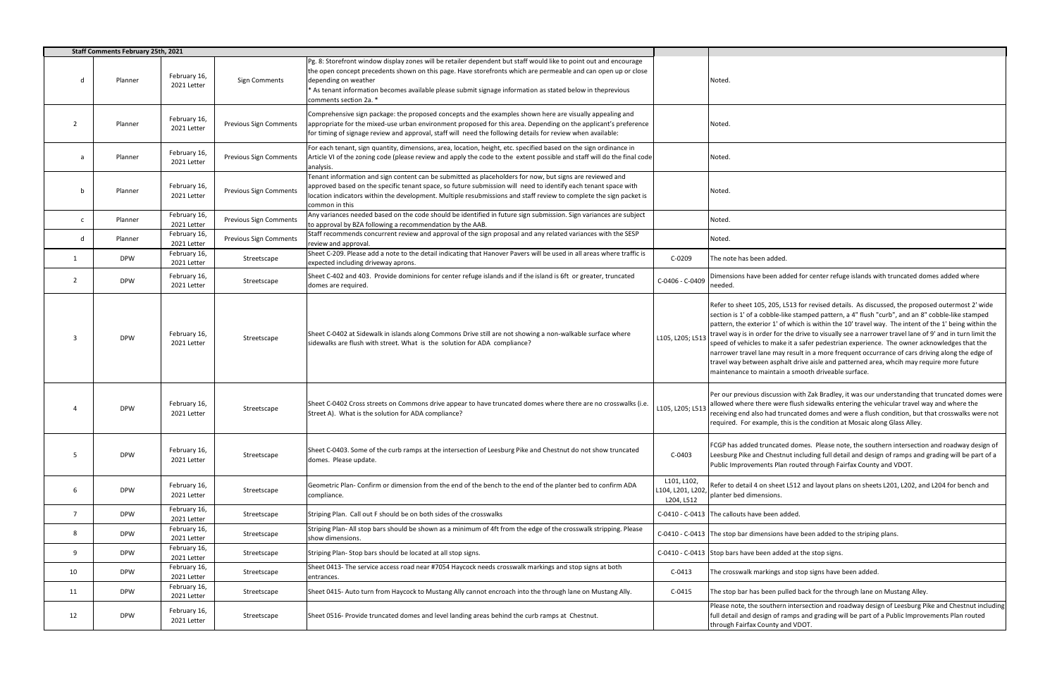|                | Staff Comments February 25th, 2021 |                             |                               |                                                                                                                                                                                                                                                                                                                                                                                                    |                                               |                                                                                                                                                                                                                                                                                     |
|----------------|------------------------------------|-----------------------------|-------------------------------|----------------------------------------------------------------------------------------------------------------------------------------------------------------------------------------------------------------------------------------------------------------------------------------------------------------------------------------------------------------------------------------------------|-----------------------------------------------|-------------------------------------------------------------------------------------------------------------------------------------------------------------------------------------------------------------------------------------------------------------------------------------|
| d              | Planner                            | February 16,<br>2021 Letter | Sign Comments                 | Pg. 8: Storefront window display zones will be retailer dependent but staff would like to point out and encourage<br>the open concept precedents shown on this page. Have storefronts which are permeable and can open up or close<br>depending on weather<br>* As tenant information becomes available please submit signage information as stated below in theprevious<br>comments section 2a. * |                                               | Noted.                                                                                                                                                                                                                                                                              |
| $\overline{2}$ | Planner                            | February 16,<br>2021 Letter | <b>Previous Sign Comments</b> | Comprehensive sign package: the proposed concepts and the examples shown here are visually appealing and<br>appropriate for the mixed-use urban environment proposed for this area. Depending on the applicant's preference<br>for timing of signage review and approval, staff will need the following details for review when available:                                                         |                                               | Noted.                                                                                                                                                                                                                                                                              |
| a              | Planner                            | February 16,<br>2021 Letter | <b>Previous Sign Comments</b> | For each tenant, sign quantity, dimensions, area, location, height, etc. specified based on the sign ordinance in<br>Article VI of the zoning code (please review and apply the code to the extent possible and staff will do the final code<br>analysis.                                                                                                                                          |                                               | Noted.                                                                                                                                                                                                                                                                              |
| b              | Planner                            | February 16,<br>2021 Letter | <b>Previous Sign Comments</b> | Tenant information and sign content can be submitted as placeholders for now, but signs are reviewed and<br>approved based on the specific tenant space, so future submission will need to identify each tenant space with<br>location indicators within the development. Multiple resubmissions and staff review to complete the sign packet is<br>common in this                                 |                                               | Noted.                                                                                                                                                                                                                                                                              |
| $\mathsf{C}$   | Planner                            | February 16,<br>2021 Letter | Previous Sign Comments        | Any variances needed based on the code should be identified in future sign submission. Sign variances are subject<br>to approval by BZA following a recommendation by the AAB.                                                                                                                                                                                                                     |                                               | Noted.                                                                                                                                                                                                                                                                              |
| d              | Planner                            | February 16,<br>2021 Letter | Previous Sign Comments        | Staff recommends concurrent review and approval of the sign proposal and any related variances with the SESP<br>review and approval.                                                                                                                                                                                                                                                               |                                               | Noted.                                                                                                                                                                                                                                                                              |
| 1              | DPW                                | February 16,<br>2021 Letter | Streetscape                   | Sheet C-209. Please add a note to the detail indicating that Hanover Pavers will be used in all areas where traffic is<br>expected including driveway aprons.                                                                                                                                                                                                                                      | C-0209                                        | The note has been added.                                                                                                                                                                                                                                                            |
| $\overline{2}$ | DPW                                | February 16,<br>2021 Letter | Streetscape                   | Sheet C-402 and 403. Provide dominions for center refuge islands and if the island is 6ft or greater, truncated<br>domes are required.                                                                                                                                                                                                                                                             | C-0406 - C-0409                               | Dimensions have been added<br>needed.                                                                                                                                                                                                                                               |
| 3              | <b>DPW</b>                         | February 16,<br>2021 Letter | Streetscape                   | Sheet C-0402 at Sidewalk in islands along Commons Drive still are not showing a non-walkable surface where<br>sidewalks are flush with street. What is the solution for ADA compliance?                                                                                                                                                                                                            | L105, L205; L513                              | Refer to sheet 105, 205, L513 f<br>section is 1' of a cobble-like sta<br>pattern, the exterior 1' of whic<br>travel way is in order for the d<br>speed of vehicles to make it a :<br>narrower travel lane may resu<br>travel way between asphalt dr<br>maintenance to maintain a sm |
| 4              | <b>DPW</b>                         | February 16,<br>2021 Letter | Streetscape                   | Sheet C-0402 Cross streets on Commons drive appear to have truncated domes where there are no crosswalks (i.e.<br>Street A). What is the solution for ADA compliance?                                                                                                                                                                                                                              | L105, L205; L513                              | Per our previous discussion wi<br>allowed where there were flus<br>receiving end also had truncat<br>required. For example, this is                                                                                                                                                 |
| 5              | <b>DPW</b>                         | February 16,<br>2021 Letter | Streetscape                   | Sheet C-0403. Some of the curb ramps at the intersection of Leesburg Pike and Chestnut do not show truncated<br>domes. Please update.                                                                                                                                                                                                                                                              | C-0403                                        | FCGP has added truncated dor<br>Leesburg Pike and Chestnut in<br>Public Improvements Plan rou                                                                                                                                                                                       |
| 6              | <b>DPW</b>                         | February 16,<br>2021 Letter | Streetscape                   | Geometric Plan- Confirm or dimension from the end of the bench to the end of the planter bed to confirm ADA<br>compliance.                                                                                                                                                                                                                                                                         | L101, L102,<br>L104, L201, L202<br>L204, L512 | Refer to detail 4 on sheet L512<br>planter bed dimensions.                                                                                                                                                                                                                          |
| $\overline{7}$ | DPW                                | February 16,<br>2021 Letter | Streetscape                   | Striping Plan. Call out F should be on both sides of the crosswalks                                                                                                                                                                                                                                                                                                                                |                                               | C-0410 - C-0413 The callouts have been added.                                                                                                                                                                                                                                       |
| 8              | <b>DPW</b>                         | February 16,<br>2021 Letter | Streetscape                   | Striping Plan- All stop bars should be shown as a minimum of 4ft from the edge of the crosswalk stripping. Please<br>show dimensions.                                                                                                                                                                                                                                                              |                                               | C-0410 - C-0413 The stop bar dimensions have                                                                                                                                                                                                                                        |
| 9              | <b>DPW</b>                         | February 16,<br>2021 Letter | Streetscape                   | Striping Plan-Stop bars should be located at all stop signs.                                                                                                                                                                                                                                                                                                                                       |                                               | C-0410 - C-0413 Stop bars have been added at                                                                                                                                                                                                                                        |
| 10             | DPW                                | February 16,<br>2021 Letter | Streetscape                   | Sheet 0413- The service access road near #7054 Haycock needs crosswalk markings and stop signs at both<br>entrances.                                                                                                                                                                                                                                                                               | $C-0413$                                      | The crosswalk markings and st                                                                                                                                                                                                                                                       |
| 11             | DPW                                | February 16,<br>2021 Letter | Streetscape                   | Sheet 0415- Auto turn from Haycock to Mustang Ally cannot encroach into the through lane on Mustang Ally.                                                                                                                                                                                                                                                                                          | $C-0415$                                      | The stop bar has been pulled b                                                                                                                                                                                                                                                      |
| 12             | <b>DPW</b>                         | February 16,<br>2021 Letter | Streetscape                   | Sheet 0516- Provide truncated domes and level landing areas behind the curb ramps at Chestnut.                                                                                                                                                                                                                                                                                                     |                                               | Please note, the southern inte<br>full detail and design of ramps<br>through Fairfax County and VD                                                                                                                                                                                  |

added for center refuge islands with truncated domes added where

5, L513 for revised details. As discussed, the proposed outermost 2' wide e-like stamped pattern, a 4" flush "curb", and an 8" cobble-like stamped of which is within the 10' travel way. The intent of the 1' being within the or the drive to visually see a narrower travel lane of 9' and in turn limit the ake it a safer pedestrian experience. The owner acknowledges that the hay result in a more frequent occurrance of cars driving along the edge of phalt drive aisle and patterned area, whcih may require more future ain a smooth driveable surface.

ssion with Zak Bradley, it was our understanding that truncated domes were vere flush sidewalks entering the vehicular travel way and where the truncated domes and were a flush condition, but that crosswalks were not this is the condition at Mosaic along Glass Alley.

ated domes. Please note, the southern intersection and roadway design of stnut including full detail and design of ramps and grading will be part of a Plan routed through Fairfax County and VDOT.

eet L512 and layout plans on sheets L201, L202, and L204 for bench and

ns have been added to the striping plans.

dded at the stop signs.

s and stop signs have been added.

pulled back for the through lane on Mustang Alley.

ern intersection and roadway design of Leesburg Pike and Chestnut including f ramps and grading will be part of a Public Improvements Plan routed y and VDOT.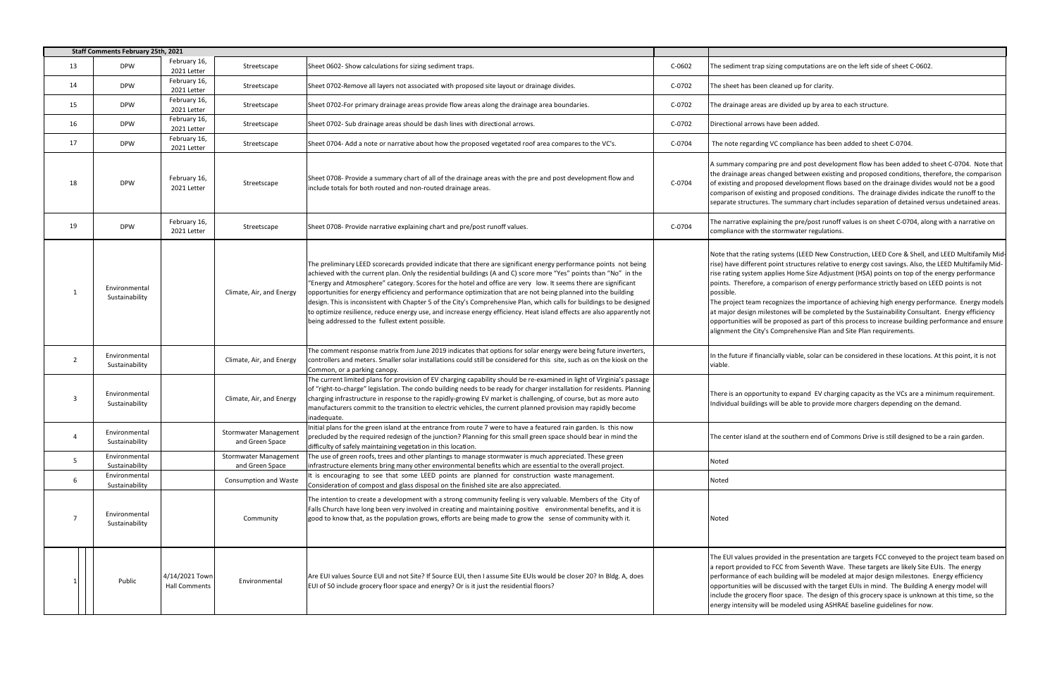|                | <b>Staff Comments February 25th, 2021</b> |                                        |                                                 |                                                                                                                                                                                                                                                                                                                                                                                                                                                                                                                                                                                                                                                                                                                                                                                 |        |                                                                                                                                                                                                                                                                                                                                                                                 |
|----------------|-------------------------------------------|----------------------------------------|-------------------------------------------------|---------------------------------------------------------------------------------------------------------------------------------------------------------------------------------------------------------------------------------------------------------------------------------------------------------------------------------------------------------------------------------------------------------------------------------------------------------------------------------------------------------------------------------------------------------------------------------------------------------------------------------------------------------------------------------------------------------------------------------------------------------------------------------|--------|---------------------------------------------------------------------------------------------------------------------------------------------------------------------------------------------------------------------------------------------------------------------------------------------------------------------------------------------------------------------------------|
| 13             | <b>DPW</b>                                | February 16,<br>2021 Letter            | Streetscape                                     | Sheet 0602- Show calculations for sizing sediment traps.                                                                                                                                                                                                                                                                                                                                                                                                                                                                                                                                                                                                                                                                                                                        | C-0602 | The sediment trap sizing computations ar                                                                                                                                                                                                                                                                                                                                        |
| 14             | <b>DPW</b>                                | February 16,<br>2021 Letter            | Streetscape                                     | Sheet 0702-Remove all layers not associated with proposed site layout or drainage divides.                                                                                                                                                                                                                                                                                                                                                                                                                                                                                                                                                                                                                                                                                      | C-0702 | The sheet has been cleaned up for clarity.                                                                                                                                                                                                                                                                                                                                      |
| 15             | <b>DPW</b>                                | February 16,<br>2021 Letter            | Streetscape                                     | Sheet 0702-For primary drainage areas provide flow areas along the drainage area boundaries.                                                                                                                                                                                                                                                                                                                                                                                                                                                                                                                                                                                                                                                                                    | C-0702 | The drainage areas are divided up by area                                                                                                                                                                                                                                                                                                                                       |
| 16             | <b>DPW</b>                                | February 16,<br>2021 Letter            | Streetscape                                     | Sheet 0702- Sub drainage areas should be dash lines with directional arrows.                                                                                                                                                                                                                                                                                                                                                                                                                                                                                                                                                                                                                                                                                                    | C-0702 | Directional arrows have been added.                                                                                                                                                                                                                                                                                                                                             |
| 17             | <b>DPW</b>                                | February 16,<br>2021 Letter            | Streetscape                                     | Sheet 0704- Add a note or narrative about how the proposed vegetated roof area compares to the VC's.                                                                                                                                                                                                                                                                                                                                                                                                                                                                                                                                                                                                                                                                            | C-0704 | The note regarding VC compliance has be                                                                                                                                                                                                                                                                                                                                         |
| 18             | <b>DPW</b>                                | February 16,<br>2021 Letter            | Streetscape                                     | Sheet 0708- Provide a summary chart of all of the drainage areas with the pre and post development flow and<br>include totals for both routed and non-routed drainage areas.                                                                                                                                                                                                                                                                                                                                                                                                                                                                                                                                                                                                    | C-0704 | A summary comparing pre and post deve<br>the drainage areas changed between exis<br>of existing and proposed development flo<br>comparison of existing and proposed con<br>separate structures. The summary chart i                                                                                                                                                             |
| 19             | <b>DPW</b>                                | February 16,<br>2021 Letter            | Streetscape                                     | Sheet 0708- Provide narrative explaining chart and pre/post runoff values.                                                                                                                                                                                                                                                                                                                                                                                                                                                                                                                                                                                                                                                                                                      | C-0704 | The narrative explaining the pre/post run<br>compliance with the stormwater regulatio                                                                                                                                                                                                                                                                                           |
| 1              | Environmental<br>Sustainability           |                                        | Climate, Air, and Energy                        | The preliminary LEED scorecards provided indicate that there are significant energy performance points not being<br>achieved with the current plan. Only the residential buildings (A and C) score more "Yes" points than "No" in the<br>"Energy and Atmosphere" category. Scores for the hotel and office are very low. It seems there are significant<br>opportunities for energy efficiency and performance optimization that are not being planned into the building<br>design. This is inconsistent with Chapter 5 of the City's Comprehensive Plan, which calls for buildings to be designed<br>to optimize resilience, reduce energy use, and increase energy efficiency. Heat island effects are also apparently not<br>being addressed to the fullest extent possible. |        | Note that the rating systems (LEED New C<br>rise) have different point structures relati<br>rise rating system applies Home Size Adju<br>points. Therefore, a comparison of energ<br>possible.<br>The project team recognizes the importar<br>at major design milestones will be comple<br>opportunities will be proposed as part of<br>alignment the City's Comprehensive Plan |
| $\overline{2}$ | Environmental<br>Sustainability           |                                        | Climate, Air, and Energy                        | The comment response matrix from June 2019 indicates that options for solar energy were being future inverters,<br>controllers and meters. Smaller solar installations could still be considered for this site, such as on the kiosk on the<br>Common, or a parking canopy.                                                                                                                                                                                                                                                                                                                                                                                                                                                                                                     |        | In the future if financially viable, solar can<br>viable.                                                                                                                                                                                                                                                                                                                       |
| 3              | Environmental<br>Sustainability           |                                        | Climate, Air, and Energy                        | The current limited plans for provision of EV charging capability should be re-examined in light of Virginia's passage<br>of "right-to-charge" legislation. The condo building needs to be ready for charger installation for residents. Planning<br>charging infrastructure in response to the rapidly-growing EV market is challenging, of course, but as more auto<br>manufacturers commit to the transition to electric vehicles, the current planned provision may rapidly become<br>inadequate.                                                                                                                                                                                                                                                                           |        | There is an opportunity to expand EV cha<br>Individual buildings will be able to provide                                                                                                                                                                                                                                                                                        |
| 4              | Environmental<br>Sustainability           |                                        | Stormwater Management<br>and Green Space        | Initial plans for the green island at the entrance from route 7 were to have a featured rain garden. Is this now<br>precluded by the required redesign of the junction? Planning for this small green space should bear in mind the<br>difficulty of safely maintaining vegetation in this location.                                                                                                                                                                                                                                                                                                                                                                                                                                                                            |        | The center island at the southern end of (                                                                                                                                                                                                                                                                                                                                      |
| 5              | Environmental<br>Sustainability           |                                        | <b>Stormwater Management</b><br>and Green Space | The use of green roofs, trees and other plantings to manage stormwater is much appreciated. These green<br>infrastructure elements bring many other environmental benefits which are essential to the overall project.                                                                                                                                                                                                                                                                                                                                                                                                                                                                                                                                                          |        | Noted                                                                                                                                                                                                                                                                                                                                                                           |
| 6              | Environmental<br>Sustainability           |                                        | Consumption and Waste                           | It is encouraging to see that some LEED points are planned for construction waste management.<br>Consideration of compost and glass disposal on the finished site are also appreciated.                                                                                                                                                                                                                                                                                                                                                                                                                                                                                                                                                                                         |        | Noted                                                                                                                                                                                                                                                                                                                                                                           |
| $\overline{7}$ | Environmental<br>Sustainability           |                                        | Community                                       | The intention to create a development with a strong community feeling is very valuable. Members of the City of<br>Falls Church have long been very involved in creating and maintaining positive environmental benefits, and it is<br>good to know that, as the population grows, efforts are being made to grow the sense of community with it.                                                                                                                                                                                                                                                                                                                                                                                                                                |        | Noted                                                                                                                                                                                                                                                                                                                                                                           |
|                | Public                                    | 4/14/2021 Town<br><b>Hall Comments</b> | Environmental                                   | Are EUI values Source EUI and not Site? If Source EUI, then I assume Site EUIs would be closer 20? In Bldg. A, does<br>EUI of 50 include grocery floor space and energy? Or is it just the residential floors?                                                                                                                                                                                                                                                                                                                                                                                                                                                                                                                                                                  |        | The EUI values provided in the presentation<br>a report provided to FCC from Seventh W<br>performance of each building will be mod<br>opportunities will be discussed with the ta<br>include the grocery floor space. The desig<br>energy intensity will be modeled using AS                                                                                                    |

ng computations are on the left side of sheet C-0602.

divided up by area to each structure.

I compliance has been added to sheet C-0704.

pre and post development flow has been added to sheet C-0704. Note that inged between existing and proposed conditions, therefore, the comparison ed development flows based on the drainage divides would not be a good and proposed conditions. The drainage divides indicate the runoff to the ne summary chart includes separation of detained versus undetained areas.

g the pre/post runoff values is on sheet C-0704, along with a narrative on cormwater regulations.

stems (LEED New Construction, LEED Core & Shell, and LEED Multifamily Midint structures relative to energy cost savings. Also, the LEED Multifamily Midies Home Size Adjustment (HSA) points on top of the energy performance pmparison of energy performance strictly based on LEED points is not

gnizes the importance of achieving high energy performance. Energy models ones will be completed by the Sustainability Consultant. Energy efficiency roposed as part of this process to increase building performance and ensure mprehensive Plan and Site Plan requirements.

Illy viable, solar can be considered in these locations. At this point, it is not

y to expand EV charging capacity as the VCs are a minimum requirement. I be able to provide more chargers depending on the demand.

e southern end of Commons Drive is still designed to be a rain garden.

ed in the presentation are targets FCC conveyed to the project team based on CC from Seventh Wave. These targets are likely Site EUIs. The energy puilding will be modeled at major design milestones. Energy efficiency iscussed with the target EUIs in mind. The Building A energy model will or space. The design of this grocery space is unknown at this time, so the energy modeled using ASHRAE baseline guidelines for now.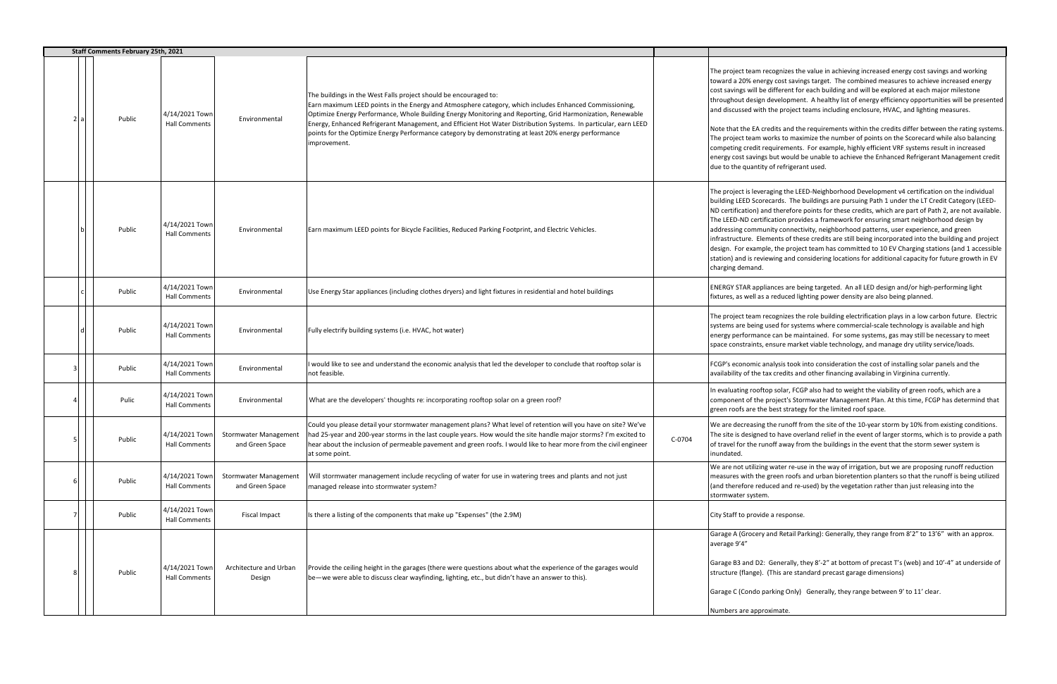|    | Staff Comments February 25th, 2021 |                                        |                                                 |                                                                                                                                                                                                                                                                                                                                                                                                                                                                                                                                     |        |                                                                                                                                                                                                                                                                                                                                                                                                                                                                                                                                                                                                                                                                                                                                                                                                                                                                                                                       |
|----|------------------------------------|----------------------------------------|-------------------------------------------------|-------------------------------------------------------------------------------------------------------------------------------------------------------------------------------------------------------------------------------------------------------------------------------------------------------------------------------------------------------------------------------------------------------------------------------------------------------------------------------------------------------------------------------------|--------|-----------------------------------------------------------------------------------------------------------------------------------------------------------------------------------------------------------------------------------------------------------------------------------------------------------------------------------------------------------------------------------------------------------------------------------------------------------------------------------------------------------------------------------------------------------------------------------------------------------------------------------------------------------------------------------------------------------------------------------------------------------------------------------------------------------------------------------------------------------------------------------------------------------------------|
|    | Public                             | 4/14/2021 Town<br><b>Hall Comments</b> | Environmental                                   | The buildings in the West Falls project should be encouraged to:<br>Earn maximum LEED points in the Energy and Atmosphere category, which includes Enhanced Commissioning,<br>Optimize Energy Performance, Whole Building Energy Monitoring and Reporting, Grid Harmonization, Renewable<br>Energy, Enhanced Refrigerant Management, and Efficient Hot Water Distribution Systems. In particular, earn LEED<br>points for the Optimize Energy Performance category by demonstrating at least 20% energy performance<br>improvement. |        | The project team recognizes the value in achieving increased energy cost savings and workin<br>toward a 20% energy cost savings target. The combined measures to achieve increased ene<br>cost savings will be different for each building and will be explored at each major milestone<br>throughout design development. A healthy list of energy efficiency opportunities will be pre<br>and discussed with the project teams including enclosure, HVAC, and lighting measures.<br>Note that the EA credits and the requirements within the credits differ between the rating sy<br>The project team works to maximize the number of points on the Scorecard while also balan<br>competing credit requirements. For example, highly efficient VRF systems result in increased<br>energy cost savings but would be unable to achieve the Enhanced Refrigerant Management<br>due to the quantity of refrigerant used. |
|    | Public                             | 4/14/2021 Town<br><b>Hall Comments</b> | Environmental                                   | Earn maximum LEED points for Bicycle Facilities, Reduced Parking Footprint, and Electric Vehicles.                                                                                                                                                                                                                                                                                                                                                                                                                                  |        | The project is leveraging the LEED-Neighborhood Development v4 certification on the indivio<br>building LEED Scorecards. The buildings are pursuing Path 1 under the LT Credit Category (LI<br>ND certification) and therefore points for these credits, which are part of Path 2, are not ava<br>The LEED-ND certification provides a framework for ensuring smart neighborhood design by<br>addressing community connectivity, neighborhood patterns, user experience, and green<br>infrastructure. Elements of these credits are still being incorporated into the building and pr<br>design. For example, the project team has committed to 10 EV Charging stations (and 1 acce<br>station) and is reviewing and considering locations for additional capacity for future growth<br>charging demand.                                                                                                              |
|    | Public                             | 4/14/2021 Town<br><b>Hall Comments</b> | Environmental                                   | Use Energy Star appliances (including clothes dryers) and light fixtures in residential and hotel buildings                                                                                                                                                                                                                                                                                                                                                                                                                         |        | ENERGY STAR appliances are being targeted. An all LED design and/or high-performing light<br>fixtures, as well as a reduced lighting power density are also being planned.                                                                                                                                                                                                                                                                                                                                                                                                                                                                                                                                                                                                                                                                                                                                            |
|    | Public                             | 4/14/2021 Town<br><b>Hall Comments</b> | Environmental                                   | Fully electrify building systems (i.e. HVAC, hot water)                                                                                                                                                                                                                                                                                                                                                                                                                                                                             |        | The project team recognizes the role building electrification plays in a low carbon future. Ele<br>systems are being used for systems where commercial-scale technology is available and high<br>energy performance can be maintained. For some systems, gas may still be necessary to me<br>space constraints, ensure market viable technology, and manage dry utility service/loads.                                                                                                                                                                                                                                                                                                                                                                                                                                                                                                                                |
| -3 | Public                             | 4/14/2021 Town<br><b>Hall Comments</b> | Environmental                                   | I would like to see and understand the economic analysis that led the developer to conclude that rooftop solar is<br>not feasible.                                                                                                                                                                                                                                                                                                                                                                                                  |        | FCGP's economic analysis took into consideration the cost of installing solar panels and the<br>availability of the tax credits and other financing availabing in Virginina currently.                                                                                                                                                                                                                                                                                                                                                                                                                                                                                                                                                                                                                                                                                                                                |
|    | Pulic                              | 4/14/2021 Town<br><b>Hall Comments</b> | Environmental                                   | What are the developers' thoughts re: incorporating rooftop solar on a green roof?                                                                                                                                                                                                                                                                                                                                                                                                                                                  |        | In evaluating rooftop solar, FCGP also had to weight the viability of green roofs, which are a<br>component of the project's Stormwater Management Plan. At this time, FCGP has determine<br>green roofs are the best strategy for the limited roof space.                                                                                                                                                                                                                                                                                                                                                                                                                                                                                                                                                                                                                                                            |
|    | Public                             | 4/14/2021 Town<br><b>Hall Comments</b> | <b>Stormwater Management</b><br>and Green Space | Could you please detail your stormwater management plans? What level of retention will you have on site? We've<br>had 25-year and 200-year storms in the last couple years. How would the site handle major storms? I'm excited to<br>hear about the inclusion of permeable pavement and green roofs. I would like to hear more from the civil engineer<br>at some point.                                                                                                                                                           | C-0704 | We are decreasing the runoff from the site of the 10-year storm by 10% from existing condit<br>The site is designed to have overland relief in the event of larger storms, which is to provide<br>of travel for the runoff away from the buildings in the event that the storm sewer system is<br>nundated.                                                                                                                                                                                                                                                                                                                                                                                                                                                                                                                                                                                                           |
| 6  | Public                             | 4/14/2021 Town<br><b>Hall Comments</b> | <b>Stormwater Management</b><br>and Green Space | Will stormwater management include recycling of water for use in watering trees and plants and not just<br>managed release into stormwater system?                                                                                                                                                                                                                                                                                                                                                                                  |        | We are not utilizing water re-use in the way of irrigation, but we are proposing runoff reduct<br>measures with the green roofs and urban bioretention planters so that the runoff is being ut<br>(and therefore reduced and re-used) by the vegetation rather than just releasing into the<br>stormwater system.                                                                                                                                                                                                                                                                                                                                                                                                                                                                                                                                                                                                     |
|    | Public                             | 4/14/2021 Town<br><b>Hall Comments</b> | <b>Fiscal Impact</b>                            | Is there a listing of the components that make up "Expenses" (the 2.9M)                                                                                                                                                                                                                                                                                                                                                                                                                                                             |        | City Staff to provide a response.                                                                                                                                                                                                                                                                                                                                                                                                                                                                                                                                                                                                                                                                                                                                                                                                                                                                                     |
|    | Public                             | 4/14/2021 Town<br><b>Hall Comments</b> | Architecture and Urban<br>Design                | Provide the ceiling height in the garages (there were questions about what the experience of the garages would<br>be—we were able to discuss clear wayfinding, lighting, etc., but didn't have an answer to this).                                                                                                                                                                                                                                                                                                                  |        | Garage A (Grocery and Retail Parking): Generally, they range from 8'2" to 13'6" with an app<br>average 9'4"<br>Garage B3 and D2: Generally, they 8'-2" at bottom of precast T's (web) and 10'-4" at unders<br>structure (flange). (This are standard precast garage dimensions)<br>Garage C (Condo parking Only) Generally, they range between 9' to 11' clear.<br>Numbers are approximate.                                                                                                                                                                                                                                                                                                                                                                                                                                                                                                                           |

ognizes the value in achieving increased energy cost savings and working cost savings target. The combined measures to achieve increased energy fferent for each building and will be explored at each major milestone velopment. A healthy list of energy efficiency opportunities will be presented e project teams including enclosure, HVAC, and lighting measures.

lits and the requirements within the credits differ between the rating systems. ks to maximize the number of points on the Scorecard while also balancing iirements. For example, highly efficient VRF systems result in increased ut would be unable to achieve the Enhanced Refrigerant Management credit f refrigerant used.

Ing the LEED-Neighborhood Development v4 certification on the individual ords. The buildings are pursuing Path 1 under the LT Credit Category (LEEDtherefore points for these credits, which are part of Path 2, are not available. tion provides a framework for ensuring smart neighborhood design by y connectivity, neighborhood patterns, user experience, and green ints of these credits are still being incorporated into the building and project the project team has committed to 10 EV Charging stations (and 1 accessible ing and considering locations for additional capacity for future growth in EV

ognizes the role building electrification plays in a low carbon future. Electric d for systems where commercial-scale technology is available and high an be maintained. For some systems, gas may still be necessary to meet sure market viable technology, and manage dry utility service/loads.

solar, FCGP also had to weight the viability of green roofs, which are a bject's Stormwater Management Plan. At this time, FCGP has determind that est strategy for the limited roof space.

e runoff from the site of the 10-year storm by 10% from existing conditions. If have overland relief in the event of larger storms, which is to provide a path f away from the buildings in the event that the storm sewer system is

ater re-use in the way of irrigation, but we are proposing runoff reduction een roofs and urban bioretention planters so that the runoff is being utilized ed and re-used) by the vegetation rather than just releasing into the

d Retail Parking): Generally, they range from 8'2" to 13'6" with an approx.

enerally, they 8'-2" at bottom of precast T's (web) and 10'-4" at underside of his are standard precast garage dimensions).